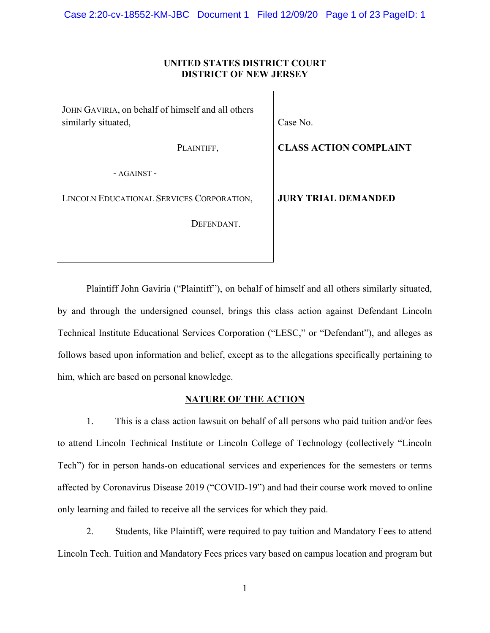## **UNITED STATES DISTRICT COURT DISTRICT OF NEW JERSEY**

JOHN GAVIRIA, on behalf of himself and all others similarly situated,

PLAINTIFF,

Case No.

**CLASS ACTION COMPLAINT** 

- AGAINST -

LINCOLN EDUCATIONAL SERVICES CORPORATION,

DEFENDANT.

**JURY TRIAL DEMANDED** 

Plaintiff John Gaviria ("Plaintiff"), on behalf of himself and all others similarly situated, by and through the undersigned counsel, brings this class action against Defendant Lincoln Technical Institute Educational Services Corporation ("LESC," or "Defendant"), and alleges as follows based upon information and belief, except as to the allegations specifically pertaining to him, which are based on personal knowledge.

# **NATURE OF THE ACTION**

1. This is a class action lawsuit on behalf of all persons who paid tuition and/or fees to attend Lincoln Technical Institute or Lincoln College of Technology (collectively "Lincoln Tech") for in person hands-on educational services and experiences for the semesters or terms affected by Coronavirus Disease 2019 ("COVID-19") and had their course work moved to online only learning and failed to receive all the services for which they paid.

2. Students, like Plaintiff, were required to pay tuition and Mandatory Fees to attend Lincoln Tech. Tuition and Mandatory Fees prices vary based on campus location and program but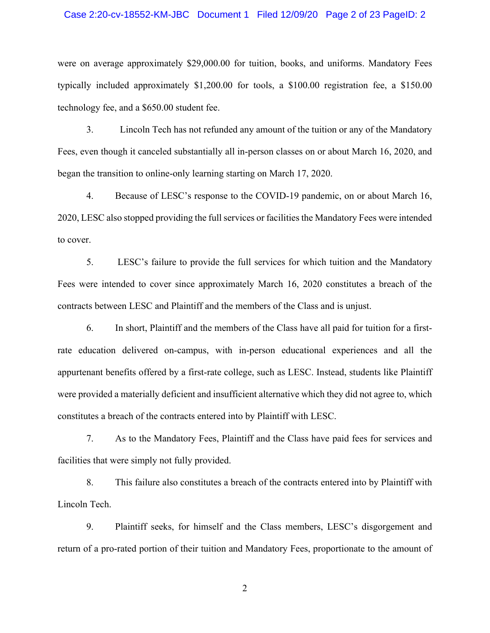#### Case 2:20-cv-18552-KM-JBC Document 1 Filed 12/09/20 Page 2 of 23 PageID: 2

were on average approximately \$29,000.00 for tuition, books, and uniforms. Mandatory Fees typically included approximately \$1,200.00 for tools, a \$100.00 registration fee, a \$150.00 technology fee, and a \$650.00 student fee.

3. Lincoln Tech has not refunded any amount of the tuition or any of the Mandatory Fees, even though it canceled substantially all in-person classes on or about March 16, 2020, and began the transition to online-only learning starting on March 17, 2020.

4. Because of LESC's response to the COVID-19 pandemic, on or about March 16, 2020, LESC also stopped providing the full services or facilities the Mandatory Fees were intended to cover.

5. LESC's failure to provide the full services for which tuition and the Mandatory Fees were intended to cover since approximately March 16, 2020 constitutes a breach of the contracts between LESC and Plaintiff and the members of the Class and is unjust.

6. In short, Plaintiff and the members of the Class have all paid for tuition for a firstrate education delivered on-campus, with in-person educational experiences and all the appurtenant benefits offered by a first-rate college, such as LESC. Instead, students like Plaintiff were provided a materially deficient and insufficient alternative which they did not agree to, which constitutes a breach of the contracts entered into by Plaintiff with LESC.

7. As to the Mandatory Fees, Plaintiff and the Class have paid fees for services and facilities that were simply not fully provided.

8. This failure also constitutes a breach of the contracts entered into by Plaintiff with Lincoln Tech.

9. Plaintiff seeks, for himself and the Class members, LESC's disgorgement and return of a pro-rated portion of their tuition and Mandatory Fees, proportionate to the amount of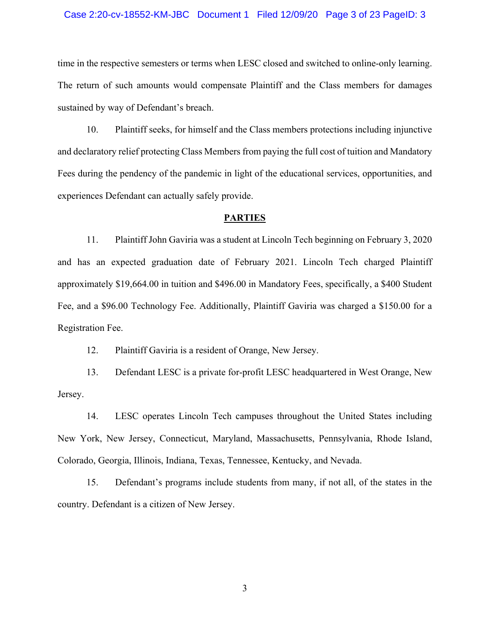#### Case 2:20-cv-18552-KM-JBC Document 1 Filed 12/09/20 Page 3 of 23 PageID: 3

time in the respective semesters or terms when LESC closed and switched to online-only learning. The return of such amounts would compensate Plaintiff and the Class members for damages sustained by way of Defendant's breach.

10. Plaintiff seeks, for himself and the Class members protections including injunctive and declaratory relief protecting Class Members from paying the full cost of tuition and Mandatory Fees during the pendency of the pandemic in light of the educational services, opportunities, and experiences Defendant can actually safely provide.

### **PARTIES**

11. Plaintiff John Gaviria was a student at Lincoln Tech beginning on February 3, 2020 and has an expected graduation date of February 2021. Lincoln Tech charged Plaintiff approximately \$19,664.00 in tuition and \$496.00 in Mandatory Fees, specifically, a \$400 Student Fee, and a \$96.00 Technology Fee. Additionally, Plaintiff Gaviria was charged a \$150.00 for a Registration Fee.

12. Plaintiff Gaviria is a resident of Orange, New Jersey.

13. Defendant LESC is a private for-profit LESC headquartered in West Orange, New Jersey.

14. LESC operates Lincoln Tech campuses throughout the United States including New York, New Jersey, Connecticut, Maryland, Massachusetts, Pennsylvania, Rhode Island, Colorado, Georgia, Illinois, Indiana, Texas, Tennessee, Kentucky, and Nevada.

15. Defendant's programs include students from many, if not all, of the states in the country. Defendant is a citizen of New Jersey.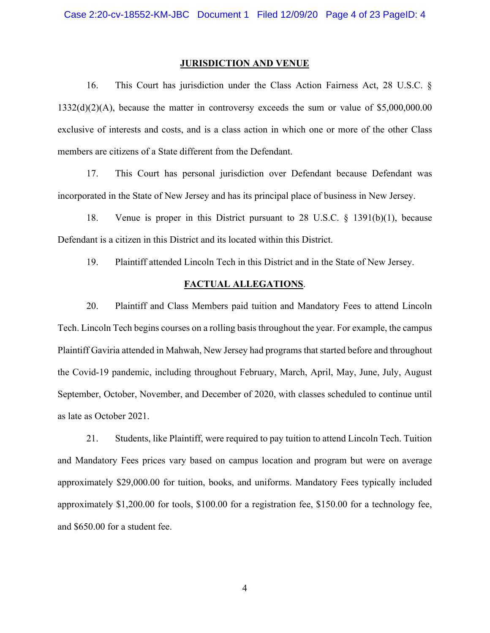#### **JURISDICTION AND VENUE**

16. This Court has jurisdiction under the Class Action Fairness Act, 28 U.S.C. § 1332(d)(2)(A), because the matter in controversy exceeds the sum or value of \$5,000,000.00 exclusive of interests and costs, and is a class action in which one or more of the other Class members are citizens of a State different from the Defendant.

17. This Court has personal jurisdiction over Defendant because Defendant was incorporated in the State of New Jersey and has its principal place of business in New Jersey.

18. Venue is proper in this District pursuant to 28 U.S.C. § 1391(b)(1), because Defendant is a citizen in this District and its located within this District.

19. Plaintiff attended Lincoln Tech in this District and in the State of New Jersey.

## **FACTUAL ALLEGATIONS**.

20. Plaintiff and Class Members paid tuition and Mandatory Fees to attend Lincoln Tech. Lincoln Tech begins courses on a rolling basis throughout the year. For example, the campus Plaintiff Gaviria attended in Mahwah, New Jersey had programs that started before and throughout the Covid-19 pandemic, including throughout February, March, April, May, June, July, August September, October, November, and December of 2020, with classes scheduled to continue until as late as October 2021.

21. Students, like Plaintiff, were required to pay tuition to attend Lincoln Tech. Tuition and Mandatory Fees prices vary based on campus location and program but were on average approximately \$29,000.00 for tuition, books, and uniforms. Mandatory Fees typically included approximately \$1,200.00 for tools, \$100.00 for a registration fee, \$150.00 for a technology fee, and \$650.00 for a student fee.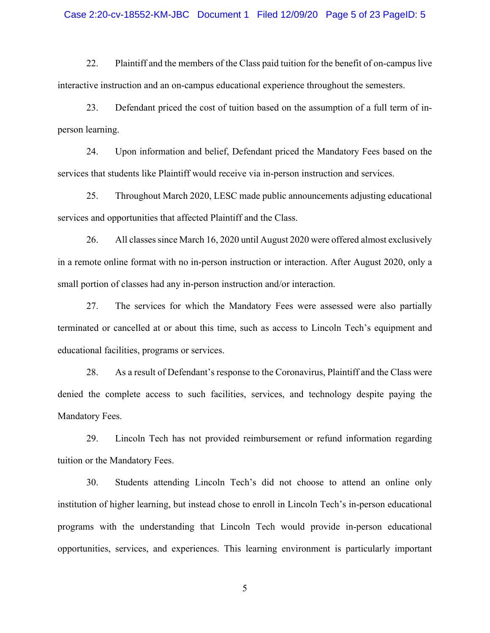#### Case 2:20-cv-18552-KM-JBC Document 1 Filed 12/09/20 Page 5 of 23 PageID: 5

22. Plaintiff and the members of the Class paid tuition for the benefit of on-campus live interactive instruction and an on-campus educational experience throughout the semesters.

23. Defendant priced the cost of tuition based on the assumption of a full term of inperson learning.

24. Upon information and belief, Defendant priced the Mandatory Fees based on the services that students like Plaintiff would receive via in-person instruction and services.

25. Throughout March 2020, LESC made public announcements adjusting educational services and opportunities that affected Plaintiff and the Class.

26. All classes since March 16, 2020 until August 2020 were offered almost exclusively in a remote online format with no in-person instruction or interaction. After August 2020, only a small portion of classes had any in-person instruction and/or interaction.

27. The services for which the Mandatory Fees were assessed were also partially terminated or cancelled at or about this time, such as access to Lincoln Tech's equipment and educational facilities, programs or services.

28. As a result of Defendant's response to the Coronavirus, Plaintiff and the Class were denied the complete access to such facilities, services, and technology despite paying the Mandatory Fees.

29. Lincoln Tech has not provided reimbursement or refund information regarding tuition or the Mandatory Fees.

30. Students attending Lincoln Tech's did not choose to attend an online only institution of higher learning, but instead chose to enroll in Lincoln Tech's in-person educational programs with the understanding that Lincoln Tech would provide in-person educational opportunities, services, and experiences. This learning environment is particularly important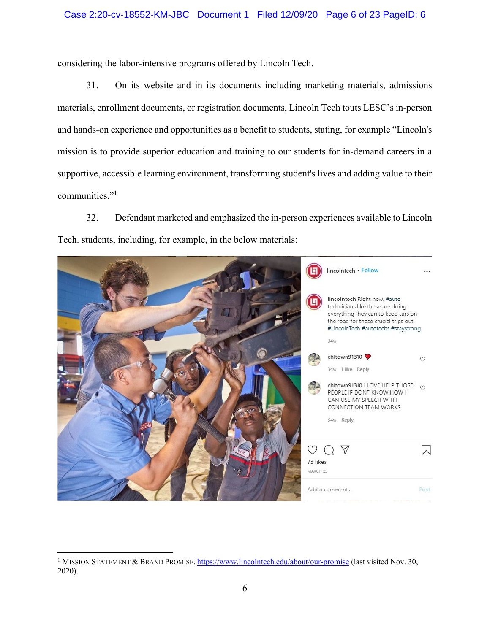considering the labor-intensive programs offered by Lincoln Tech.

31. On its website and in its documents including marketing materials, admissions materials, enrollment documents, or registration documents, Lincoln Tech touts LESC's in-person and hands-on experience and opportunities as a benefit to students, stating, for example "Lincoln's mission is to provide superior education and training to our students for in-demand careers in a supportive, accessible learning environment, transforming student's lives and adding value to their communities."<sup>1</sup>

32. Defendant marketed and emphasized the in-person experiences available to Lincoln Tech. students, including, for example, in the below materials:



<sup>&</sup>lt;sup>1</sup> MISSION STATEMENT & BRAND PROMISE, https://www.lincolntech.edu/about/our-promise (last visited Nov. 30, 2020).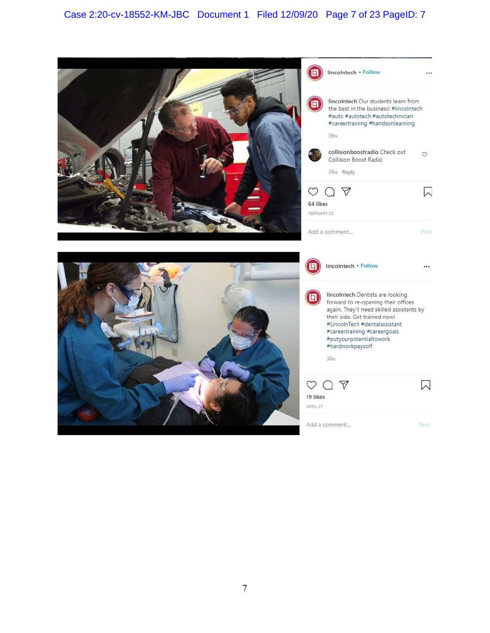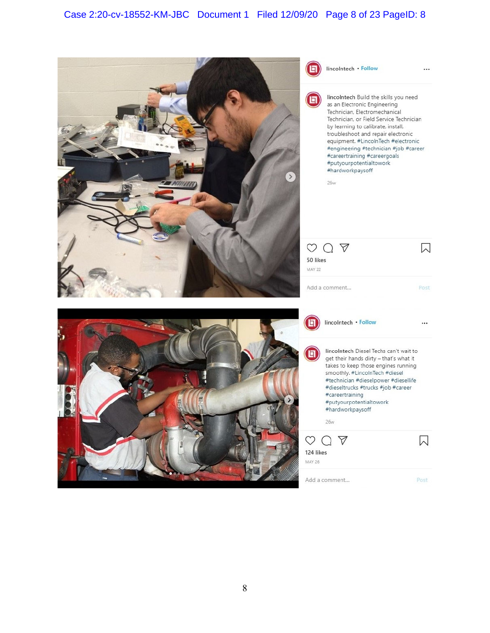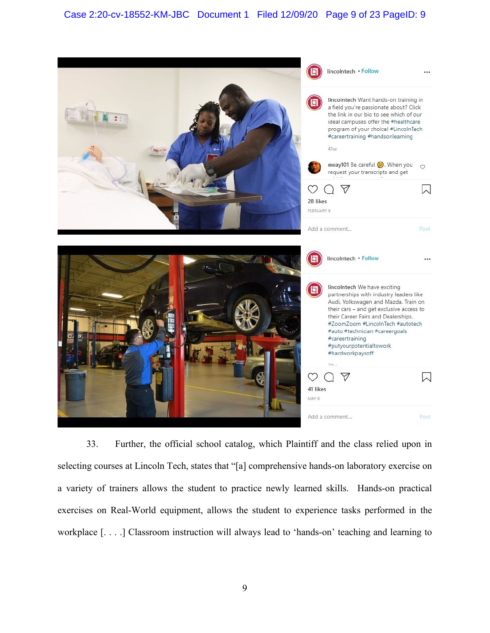

33. Further, the official school catalog, which Plaintiff and the class relied upon in selecting courses at Lincoln Tech, states that "[a] comprehensive hands-on laboratory exercise on a variety of trainers allows the student to practice newly learned skills. Hands-on practical exercises on Real-World equipment, allows the student to experience tasks performed in the workplace [. . . .] Classroom instruction will always lead to 'hands-on' teaching and learning to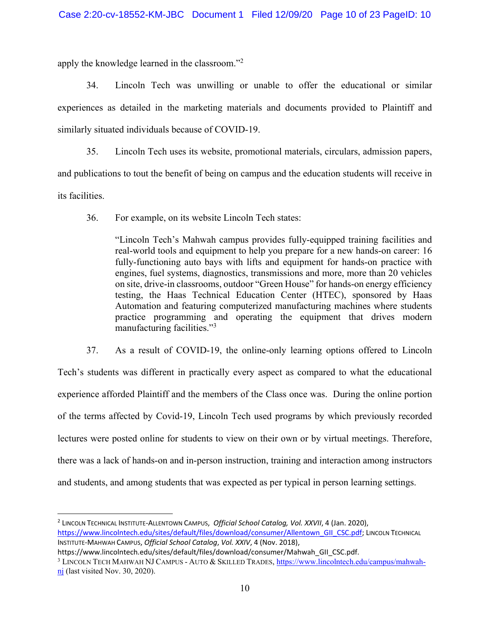apply the knowledge learned in the classroom."<sup>2</sup>

34. Lincoln Tech was unwilling or unable to offer the educational or similar experiences as detailed in the marketing materials and documents provided to Plaintiff and similarly situated individuals because of COVID-19.

35. Lincoln Tech uses its website, promotional materials, circulars, admission papers, and publications to tout the benefit of being on campus and the education students will receive in its facilities.

36. For example, on its website Lincoln Tech states:

"Lincoln Tech's Mahwah campus provides fully-equipped training facilities and real-world tools and equipment to help you prepare for a new hands-on career: 16 fully-functioning auto bays with lifts and equipment for hands-on practice with engines, fuel systems, diagnostics, transmissions and more, more than 20 vehicles on site, drive-in classrooms, outdoor "Green House" for hands-on energy efficiency testing, the Haas Technical Education Center (HTEC), sponsored by Haas Automation and featuring computerized manufacturing machines where students practice programming and operating the equipment that drives modern manufacturing facilities."<sup>3</sup>

37. As a result of COVID-19, the online-only learning options offered to Lincoln Tech's students was different in practically every aspect as compared to what the educational experience afforded Plaintiff and the members of the Class once was. During the online portion of the terms affected by Covid-19, Lincoln Tech used programs by which previously recorded lectures were posted online for students to view on their own or by virtual meetings. Therefore, there was a lack of hands-on and in-person instruction, training and interaction among instructors and students, and among students that was expected as per typical in person learning settings.

<sup>&</sup>lt;sup>2</sup> LINCOLN TECHNICAL INSTITUTE-ALLENTOWN CAMPUS, Official School Catalog, Vol. XXVII, 4 (Jan. 2020), https://www.lincolntech.edu/sites/default/files/download/consumer/Allentown\_GII\_CSC.pdf; LINCOLN TECHNICAL INSTITUTE-MAHWAH CAMPUS, *Official School Catalog, Vol. XXIV*, 4 (Nov. 2018),

https://www.lincolntech.edu/sites/default/files/download/consumer/Mahwah\_GII\_CSC.pdf.

<sup>&</sup>lt;sup>3</sup> LINCOLN TECH MAHWAH NJ CAMPUS - AUTO & SKILLED TRADES, <u>https://www.lincolntech.edu/campus/mahwah-</u>  $\overline{nj}$  (last visited Nov. 30, 2020).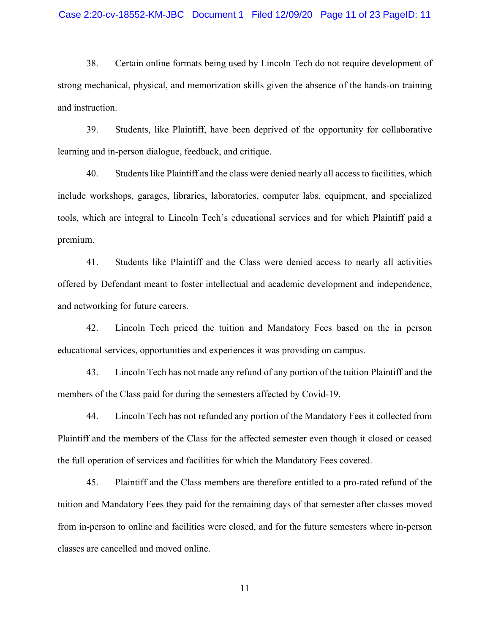#### Case 2:20-cv-18552-KM-JBC Document 1 Filed 12/09/20 Page 11 of 23 PageID: 11

38. Certain online formats being used by Lincoln Tech do not require development of strong mechanical, physical, and memorization skills given the absence of the hands-on training and instruction.

39. Students, like Plaintiff, have been deprived of the opportunity for collaborative learning and in-person dialogue, feedback, and critique.

40. Students like Plaintiff and the class were denied nearly all access to facilities, which include workshops, garages, libraries, laboratories, computer labs, equipment, and specialized tools, which are integral to Lincoln Tech's educational services and for which Plaintiff paid a premium.

41. Students like Plaintiff and the Class were denied access to nearly all activities offered by Defendant meant to foster intellectual and academic development and independence, and networking for future careers.

42. Lincoln Tech priced the tuition and Mandatory Fees based on the in person educational services, opportunities and experiences it was providing on campus.

43. Lincoln Tech has not made any refund of any portion of the tuition Plaintiff and the members of the Class paid for during the semesters affected by Covid-19.

44. Lincoln Tech has not refunded any portion of the Mandatory Fees it collected from Plaintiff and the members of the Class for the affected semester even though it closed or ceased the full operation of services and facilities for which the Mandatory Fees covered.

45. Plaintiff and the Class members are therefore entitled to a pro-rated refund of the tuition and Mandatory Fees they paid for the remaining days of that semester after classes moved from in-person to online and facilities were closed, and for the future semesters where in-person classes are cancelled and moved online.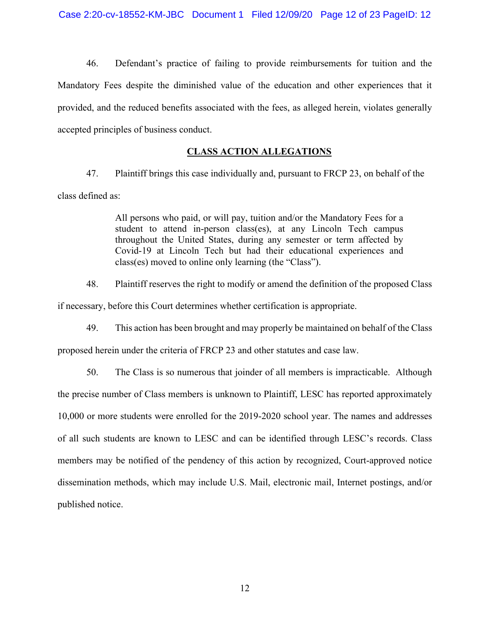46. Defendant's practice of failing to provide reimbursements for tuition and the Mandatory Fees despite the diminished value of the education and other experiences that it provided, and the reduced benefits associated with the fees, as alleged herein, violates generally accepted principles of business conduct.

## **CLASS ACTION ALLEGATIONS**

47. Plaintiff brings this case individually and, pursuant to FRCP 23, on behalf of the class defined as:

> All persons who paid, or will pay, tuition and/or the Mandatory Fees for a student to attend in-person class(es), at any Lincoln Tech campus throughout the United States, during any semester or term affected by Covid-19 at Lincoln Tech but had their educational experiences and class(es) moved to online only learning (the "Class").

48. Plaintiff reserves the right to modify or amend the definition of the proposed Class

if necessary, before this Court determines whether certification is appropriate.

49. This action has been brought and may properly be maintained on behalf of the Class

proposed herein under the criteria of FRCP 23 and other statutes and case law.

50. The Class is so numerous that joinder of all members is impracticable. Although the precise number of Class members is unknown to Plaintiff, LESC has reported approximately 10,000 or more students were enrolled for the 2019-2020 school year. The names and addresses of all such students are known to LESC and can be identified through LESC's records. Class members may be notified of the pendency of this action by recognized, Court-approved notice dissemination methods, which may include U.S. Mail, electronic mail, Internet postings, and/or published notice.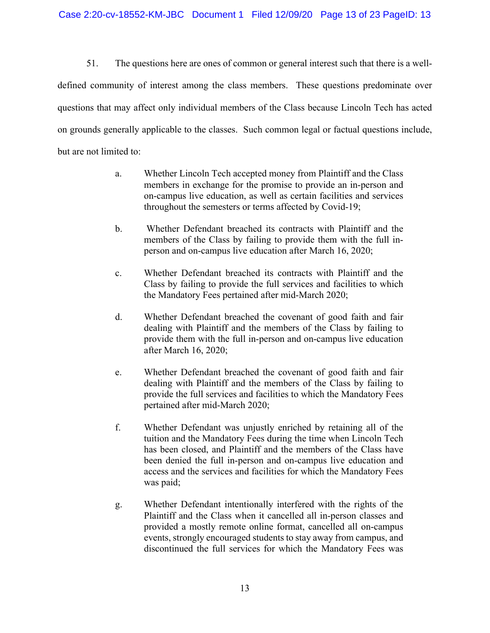51. The questions here are ones of common or general interest such that there is a welldefined community of interest among the class members. These questions predominate over questions that may affect only individual members of the Class because Lincoln Tech has acted on grounds generally applicable to the classes. Such common legal or factual questions include, but are not limited to:

- a. Whether Lincoln Tech accepted money from Plaintiff and the Class members in exchange for the promise to provide an in-person and on-campus live education, as well as certain facilities and services throughout the semesters or terms affected by Covid-19;
- b. Whether Defendant breached its contracts with Plaintiff and the members of the Class by failing to provide them with the full inperson and on-campus live education after March 16, 2020;
- c. Whether Defendant breached its contracts with Plaintiff and the Class by failing to provide the full services and facilities to which the Mandatory Fees pertained after mid-March 2020;
- d. Whether Defendant breached the covenant of good faith and fair dealing with Plaintiff and the members of the Class by failing to provide them with the full in-person and on-campus live education after March 16, 2020;
- e. Whether Defendant breached the covenant of good faith and fair dealing with Plaintiff and the members of the Class by failing to provide the full services and facilities to which the Mandatory Fees pertained after mid-March 2020;
- f. Whether Defendant was unjustly enriched by retaining all of the tuition and the Mandatory Fees during the time when Lincoln Tech has been closed, and Plaintiff and the members of the Class have been denied the full in-person and on-campus live education and access and the services and facilities for which the Mandatory Fees was paid;
- g. Whether Defendant intentionally interfered with the rights of the Plaintiff and the Class when it cancelled all in-person classes and provided a mostly remote online format, cancelled all on-campus events, strongly encouraged students to stay away from campus, and discontinued the full services for which the Mandatory Fees was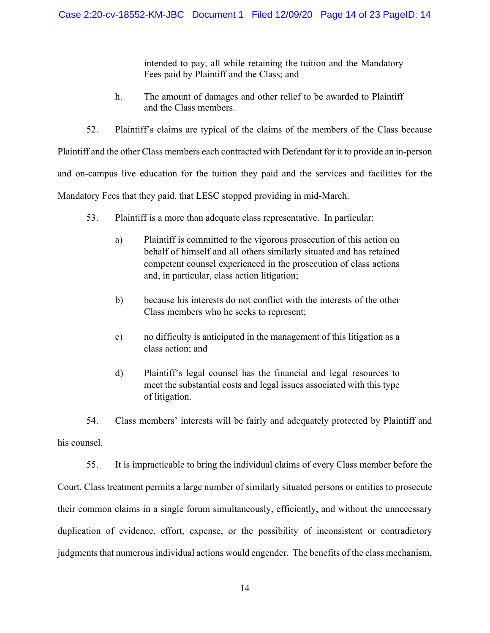intended to pay, all while retaining the tuition and the Mandatory Fees paid by Plaintiff and the Class; and

- h. The amount of damages and other relief to be awarded to Plaintiff and the Class members.
- 52. Plaintiff's claims are typical of the claims of the members of the Class because

Plaintiff and the other Class members each contracted with Defendant for it to provide an in-person

and on-campus live education for the tuition they paid and the services and facilities for the

Mandatory Fees that they paid, that LESC stopped providing in mid-March.

- 53. Plaintiff is a more than adequate class representative. In particular:
	- a) Plaintiff is committed to the vigorous prosecution of this action on behalf of himself and all others similarly situated and has retained competent counsel experienced in the prosecution of class actions and, in particular, class action litigation;
	- b) because his interests do not conflict with the interests of the other Class members who he seeks to represent;
	- c) no difficulty is anticipated in the management of this litigation as a class action; and
	- d) Plaintiff's legal counsel has the financial and legal resources to meet the substantial costs and legal issues associated with this type of litigation.

54. Class members' interests will be fairly and adequately protected by Plaintiff and his counsel.

55. It is impracticable to bring the individual claims of every Class member before the Court. Class treatment permits a large number of similarly situated persons or entities to prosecute their common claims in a single forum simultaneously, efficiently, and without the unnecessary duplication of evidence, effort, expense, or the possibility of inconsistent or contradictory judgments that numerous individual actions would engender. The benefits of the class mechanism,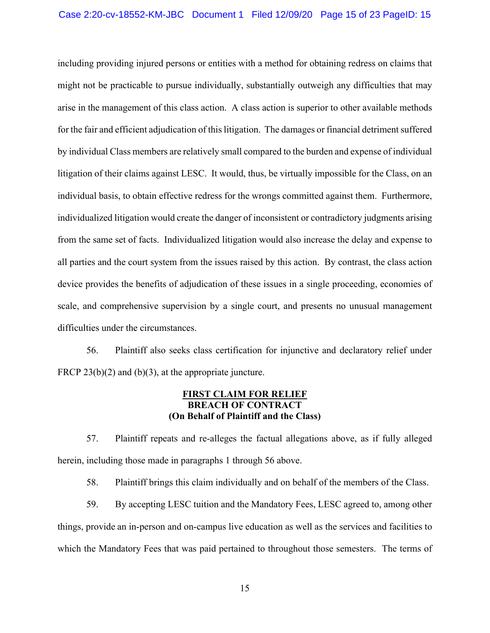including providing injured persons or entities with a method for obtaining redress on claims that might not be practicable to pursue individually, substantially outweigh any difficulties that may arise in the management of this class action. A class action is superior to other available methods for the fair and efficient adjudication of this litigation. The damages or financial detriment suffered by individual Class members are relatively small compared to the burden and expense of individual litigation of their claims against LESC. It would, thus, be virtually impossible for the Class, on an individual basis, to obtain effective redress for the wrongs committed against them. Furthermore, individualized litigation would create the danger of inconsistent or contradictory judgments arising from the same set of facts. Individualized litigation would also increase the delay and expense to all parties and the court system from the issues raised by this action. By contrast, the class action device provides the benefits of adjudication of these issues in a single proceeding, economies of scale, and comprehensive supervision by a single court, and presents no unusual management difficulties under the circumstances.

56. Plaintiff also seeks class certification for injunctive and declaratory relief under FRCP 23(b)(2) and (b)(3), at the appropriate juncture.

## **FIRST CLAIM FOR RELIEF BREACH OF CONTRACT (On Behalf of Plaintiff and the Class)**

57. Plaintiff repeats and re-alleges the factual allegations above, as if fully alleged herein, including those made in paragraphs 1 through 56 above.

58. Plaintiff brings this claim individually and on behalf of the members of the Class.

59. By accepting LESC tuition and the Mandatory Fees, LESC agreed to, among other things, provide an in-person and on-campus live education as well as the services and facilities to which the Mandatory Fees that was paid pertained to throughout those semesters. The terms of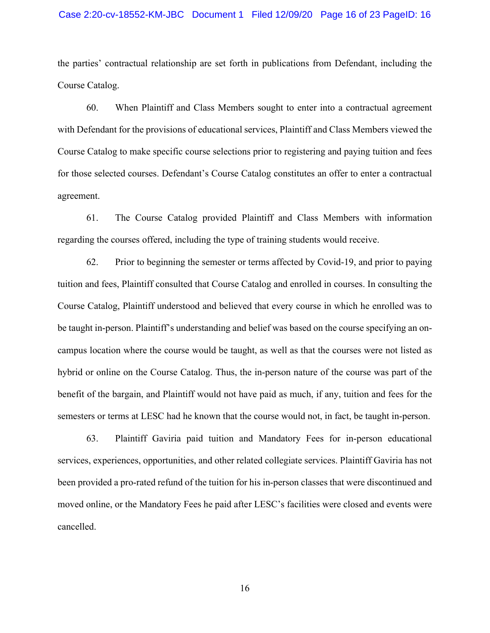#### Case 2:20-cv-18552-KM-JBC Document 1 Filed 12/09/20 Page 16 of 23 PageID: 16

the parties' contractual relationship are set forth in publications from Defendant, including the Course Catalog.

60. When Plaintiff and Class Members sought to enter into a contractual agreement with Defendant for the provisions of educational services, Plaintiff and Class Members viewed the Course Catalog to make specific course selections prior to registering and paying tuition and fees for those selected courses. Defendant's Course Catalog constitutes an offer to enter a contractual agreement.

61. The Course Catalog provided Plaintiff and Class Members with information regarding the courses offered, including the type of training students would receive.

62. Prior to beginning the semester or terms affected by Covid-19, and prior to paying tuition and fees, Plaintiff consulted that Course Catalog and enrolled in courses. In consulting the Course Catalog, Plaintiff understood and believed that every course in which he enrolled was to be taught in-person. Plaintiff's understanding and belief was based on the course specifying an oncampus location where the course would be taught, as well as that the courses were not listed as hybrid or online on the Course Catalog. Thus, the in-person nature of the course was part of the benefit of the bargain, and Plaintiff would not have paid as much, if any, tuition and fees for the semesters or terms at LESC had he known that the course would not, in fact, be taught in-person.

63. Plaintiff Gaviria paid tuition and Mandatory Fees for in-person educational services, experiences, opportunities, and other related collegiate services. Plaintiff Gaviria has not been provided a pro-rated refund of the tuition for his in-person classes that were discontinued and moved online, or the Mandatory Fees he paid after LESC's facilities were closed and events were cancelled.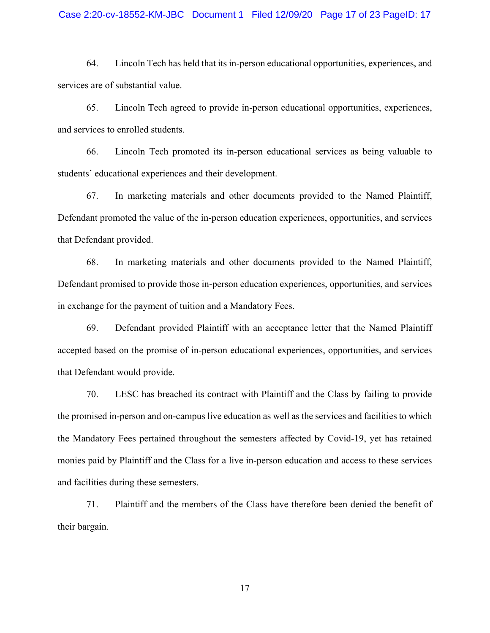### Case 2:20-cv-18552-KM-JBC Document 1 Filed 12/09/20 Page 17 of 23 PageID: 17

64. Lincoln Tech has held that its in-person educational opportunities, experiences, and services are of substantial value.

65. Lincoln Tech agreed to provide in-person educational opportunities, experiences, and services to enrolled students.

66. Lincoln Tech promoted its in-person educational services as being valuable to students' educational experiences and their development.

67. In marketing materials and other documents provided to the Named Plaintiff, Defendant promoted the value of the in-person education experiences, opportunities, and services that Defendant provided.

68. In marketing materials and other documents provided to the Named Plaintiff, Defendant promised to provide those in-person education experiences, opportunities, and services in exchange for the payment of tuition and a Mandatory Fees.

69. Defendant provided Plaintiff with an acceptance letter that the Named Plaintiff accepted based on the promise of in-person educational experiences, opportunities, and services that Defendant would provide.

70. LESC has breached its contract with Plaintiff and the Class by failing to provide the promised in-person and on-campus live education as well as the services and facilities to which the Mandatory Fees pertained throughout the semesters affected by Covid-19, yet has retained monies paid by Plaintiff and the Class for a live in-person education and access to these services and facilities during these semesters.

71. Plaintiff and the members of the Class have therefore been denied the benefit of their bargain.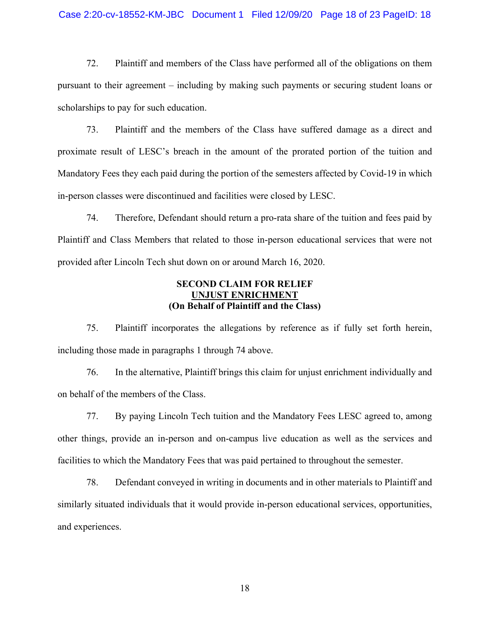### Case 2:20-cv-18552-KM-JBC Document 1 Filed 12/09/20 Page 18 of 23 PageID: 18

72. Plaintiff and members of the Class have performed all of the obligations on them pursuant to their agreement – including by making such payments or securing student loans or scholarships to pay for such education.

73. Plaintiff and the members of the Class have suffered damage as a direct and proximate result of LESC's breach in the amount of the prorated portion of the tuition and Mandatory Fees they each paid during the portion of the semesters affected by Covid-19 in which in-person classes were discontinued and facilities were closed by LESC.

74. Therefore, Defendant should return a pro-rata share of the tuition and fees paid by Plaintiff and Class Members that related to those in-person educational services that were not provided after Lincoln Tech shut down on or around March 16, 2020.

## **SECOND CLAIM FOR RELIEF UNJUST ENRICHMENT (On Behalf of Plaintiff and the Class)**

75. Plaintiff incorporates the allegations by reference as if fully set forth herein, including those made in paragraphs 1 through 74 above.

76. In the alternative, Plaintiff brings this claim for unjust enrichment individually and on behalf of the members of the Class.

77. By paying Lincoln Tech tuition and the Mandatory Fees LESC agreed to, among other things, provide an in-person and on-campus live education as well as the services and facilities to which the Mandatory Fees that was paid pertained to throughout the semester.

78. Defendant conveyed in writing in documents and in other materials to Plaintiff and similarly situated individuals that it would provide in-person educational services, opportunities, and experiences.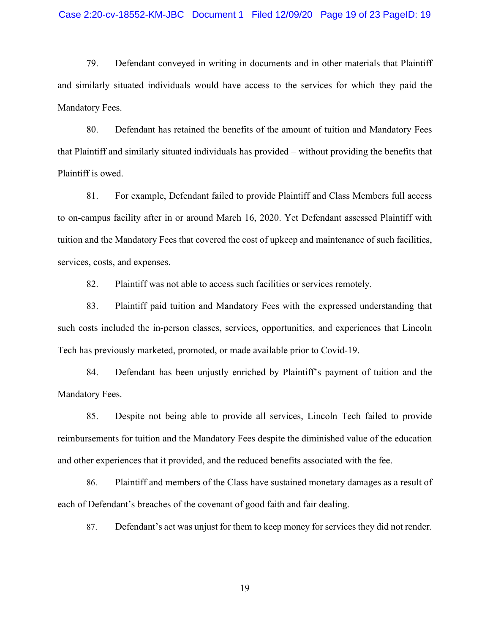#### Case 2:20-cv-18552-KM-JBC Document 1 Filed 12/09/20 Page 19 of 23 PageID: 19

79. Defendant conveyed in writing in documents and in other materials that Plaintiff and similarly situated individuals would have access to the services for which they paid the Mandatory Fees.

80. Defendant has retained the benefits of the amount of tuition and Mandatory Fees that Plaintiff and similarly situated individuals has provided – without providing the benefits that Plaintiff is owed.

81. For example, Defendant failed to provide Plaintiff and Class Members full access to on-campus facility after in or around March 16, 2020. Yet Defendant assessed Plaintiff with tuition and the Mandatory Fees that covered the cost of upkeep and maintenance of such facilities, services, costs, and expenses.

82. Plaintiff was not able to access such facilities or services remotely.

83. Plaintiff paid tuition and Mandatory Fees with the expressed understanding that such costs included the in-person classes, services, opportunities, and experiences that Lincoln Tech has previously marketed, promoted, or made available prior to Covid-19.

84. Defendant has been unjustly enriched by Plaintiff's payment of tuition and the Mandatory Fees.

85. Despite not being able to provide all services, Lincoln Tech failed to provide reimbursements for tuition and the Mandatory Fees despite the diminished value of the education and other experiences that it provided, and the reduced benefits associated with the fee.

86. Plaintiff and members of the Class have sustained monetary damages as a result of each of Defendant's breaches of the covenant of good faith and fair dealing.

87. Defendant's act was unjust for them to keep money for services they did not render.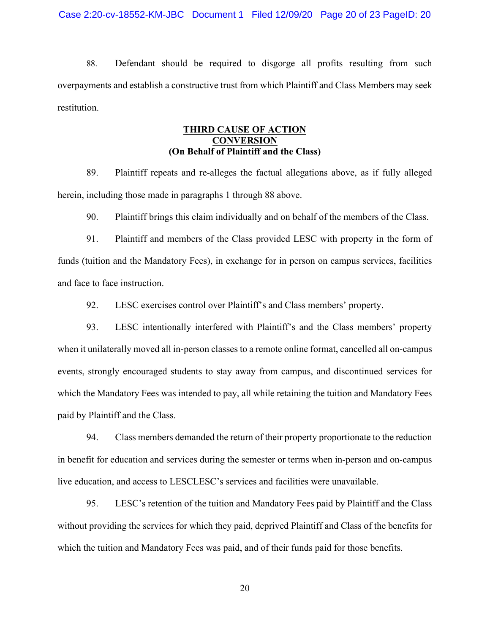88. Defendant should be required to disgorge all profits resulting from such overpayments and establish a constructive trust from which Plaintiff and Class Members may seek restitution.

## **THIRD CAUSE OF ACTION CONVERSION (On Behalf of Plaintiff and the Class)**

89. Plaintiff repeats and re-alleges the factual allegations above, as if fully alleged herein, including those made in paragraphs 1 through 88 above.

90. Plaintiff brings this claim individually and on behalf of the members of the Class.

91. Plaintiff and members of the Class provided LESC with property in the form of funds (tuition and the Mandatory Fees), in exchange for in person on campus services, facilities and face to face instruction.

92. LESC exercises control over Plaintiff's and Class members' property.

93. LESC intentionally interfered with Plaintiff's and the Class members' property when it unilaterally moved all in-person classes to a remote online format, cancelled all on-campus events, strongly encouraged students to stay away from campus, and discontinued services for which the Mandatory Fees was intended to pay, all while retaining the tuition and Mandatory Fees paid by Plaintiff and the Class.

94. Class members demanded the return of their property proportionate to the reduction in benefit for education and services during the semester or terms when in-person and on-campus live education, and access to LESCLESC's services and facilities were unavailable.

95. LESC's retention of the tuition and Mandatory Fees paid by Plaintiff and the Class without providing the services for which they paid, deprived Plaintiff and Class of the benefits for which the tuition and Mandatory Fees was paid, and of their funds paid for those benefits.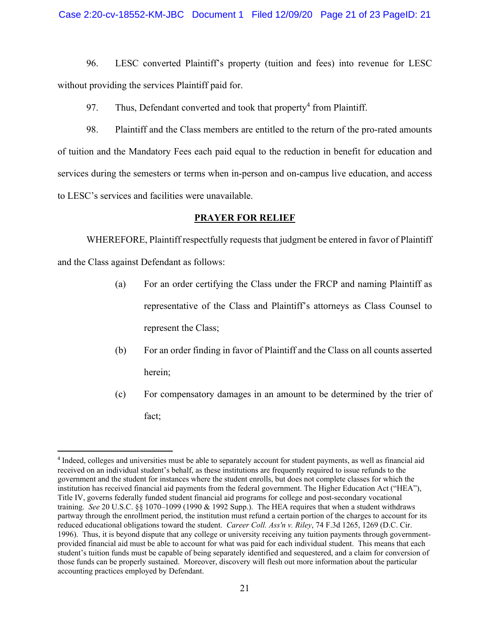### Case 2:20-cv-18552-KM-JBC Document 1 Filed 12/09/20 Page 21 of 23 PageID: 21

96. LESC converted Plaintiff's property (tuition and fees) into revenue for LESC without providing the services Plaintiff paid for.

97. Thus, Defendant converted and took that property<sup>4</sup> from Plaintiff.

98. Plaintiff and the Class members are entitled to the return of the pro-rated amounts of tuition and the Mandatory Fees each paid equal to the reduction in benefit for education and services during the semesters or terms when in-person and on-campus live education, and access to LESC's services and facilities were unavailable.

### **PRAYER FOR RELIEF**

WHEREFORE, Plaintiff respectfully requests that judgment be entered in favor of Plaintiff and the Class against Defendant as follows:

- (a) For an order certifying the Class under the FRCP and naming Plaintiff as representative of the Class and Plaintiff's attorneys as Class Counsel to represent the Class;
- (b) For an order finding in favor of Plaintiff and the Class on all counts asserted herein;
- (c) For compensatory damages in an amount to be determined by the trier of fact;

<sup>4</sup> Indeed, colleges and universities must be able to separately account for student payments, as well as financial aid received on an individual student's behalf, as these institutions are frequently required to issue refunds to the government and the student for instances where the student enrolls, but does not complete classes for which the institution has received financial aid payments from the federal government. The Higher Education Act ("HEA"), Title IV, governs federally funded student financial aid programs for college and post-secondary vocational training. *See* 20 U.S.C. §§ 1070–1099 (1990 & 1992 Supp.). The HEA requires that when a student withdraws partway through the enrollment period, the institution must refund a certain portion of the charges to account for its reduced educational obligations toward the student. *Career Coll. Ass'n v. Riley*, 74 F.3d 1265, 1269 (D.C. Cir. 1996). Thus, it is beyond dispute that any college or university receiving any tuition payments through governmentprovided financial aid must be able to account for what was paid for each individual student. This means that each student's tuition funds must be capable of being separately identified and sequestered, and a claim for conversion of those funds can be properly sustained. Moreover, discovery will flesh out more information about the particular accounting practices employed by Defendant.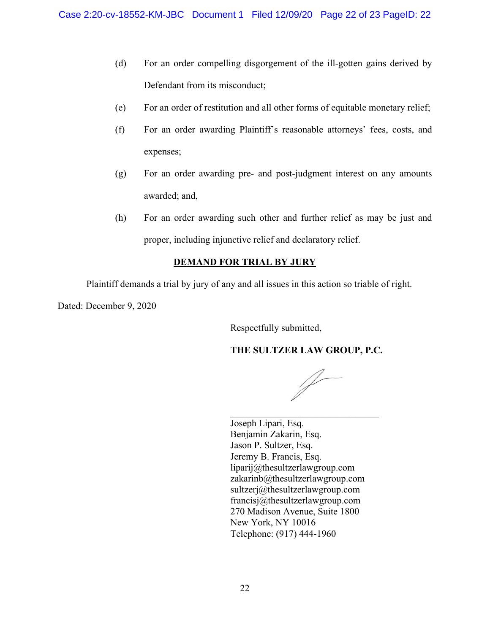- (d) For an order compelling disgorgement of the ill-gotten gains derived by Defendant from its misconduct;
- (e) For an order of restitution and all other forms of equitable monetary relief;
- (f) For an order awarding Plaintiff's reasonable attorneys' fees, costs, and expenses;
- (g) For an order awarding pre- and post-judgment interest on any amounts awarded; and,
- (h) For an order awarding such other and further relief as may be just and proper, including injunctive relief and declaratory relief.

# **DEMAND FOR TRIAL BY JURY**

Plaintiff demands a trial by jury of any and all issues in this action so triable of right.

Dated: December 9, 2020

Respectfully submitted,

# **THE SULTZER LAW GROUP, P.C.**

|}<br>|}

Joseph Lipari, Esq. Benjamin Zakarin, Esq. Jason P. Sultzer, Esq. Jeremy B. Francis, Esq. liparij@thesultzerlawgroup.com zakarinb@thesultzerlawgroup.com sultzerj@thesultzerlawgroup.com francisj@thesultzerlawgroup.com 270 Madison Avenue, Suite 1800 New York, NY 10016 Telephone: (917) 444-1960